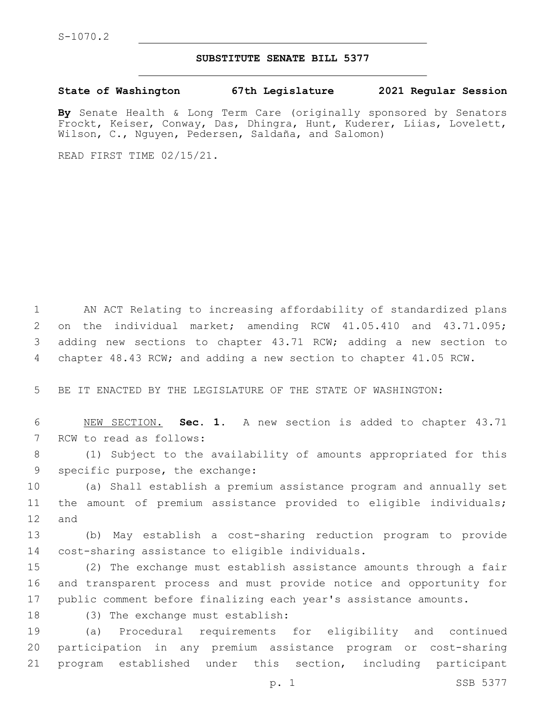## **SUBSTITUTE SENATE BILL 5377**

**State of Washington 67th Legislature 2021 Regular Session**

**By** Senate Health & Long Term Care (originally sponsored by Senators Frockt, Keiser, Conway, Das, Dhingra, Hunt, Kuderer, Liias, Lovelett, Wilson, C., Nguyen, Pedersen, Saldaña, and Salomon)

READ FIRST TIME 02/15/21.

 AN ACT Relating to increasing affordability of standardized plans on the individual market; amending RCW 41.05.410 and 43.71.095; adding new sections to chapter 43.71 RCW; adding a new section to chapter 48.43 RCW; and adding a new section to chapter 41.05 RCW.

5 BE IT ENACTED BY THE LEGISLATURE OF THE STATE OF WASHINGTON:

6 NEW SECTION. **Sec. 1.** A new section is added to chapter 43.71 7 RCW to read as follows:

8 (1) Subject to the availability of amounts appropriated for this 9 specific purpose, the exchange:

10 (a) Shall establish a premium assistance program and annually set 11 the amount of premium assistance provided to eligible individuals; 12 and

13 (b) May establish a cost-sharing reduction program to provide 14 cost-sharing assistance to eligible individuals.

15 (2) The exchange must establish assistance amounts through a fair 16 and transparent process and must provide notice and opportunity for 17 public comment before finalizing each year's assistance amounts.

18 (3) The exchange must establish:

19 (a) Procedural requirements for eligibility and continued 20 participation in any premium assistance program or cost-sharing 21 program established under this section, including participant

p. 1 SSB 5377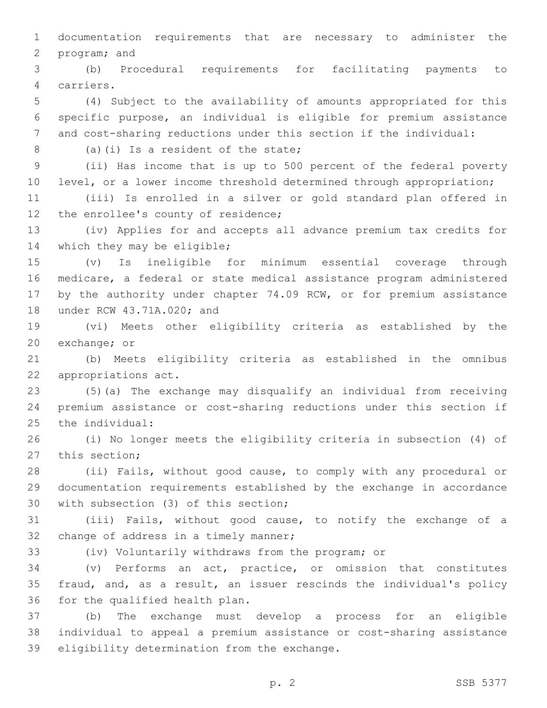1 documentation requirements that are necessary to administer the 2 program; and

3 (b) Procedural requirements for facilitating payments to carriers.4

5 (4) Subject to the availability of amounts appropriated for this 6 specific purpose, an individual is eligible for premium assistance 7 and cost-sharing reductions under this section if the individual:

(a)(i) Is a resident of the state;8

9 (ii) Has income that is up to 500 percent of the federal poverty 10 level, or a lower income threshold determined through appropriation;

11 (iii) Is enrolled in a silver or gold standard plan offered in 12 the enrollee's county of residence;

13 (iv) Applies for and accepts all advance premium tax credits for 14 which they may be eligible;

 (v) Is ineligible for minimum essential coverage through medicare, a federal or state medical assistance program administered by the authority under chapter 74.09 RCW, or for premium assistance 18 under RCW 43.71A.020; and

19 (vi) Meets other eligibility criteria as established by the 20 exchange; or

21 (b) Meets eligibility criteria as established in the omnibus 22 appropriations act.

23 (5)(a) The exchange may disqualify an individual from receiving 24 premium assistance or cost-sharing reductions under this section if 25 the individual:

26 (i) No longer meets the eligibility criteria in subsection (4) of 27 this section;

28 (ii) Fails, without good cause, to comply with any procedural or 29 documentation requirements established by the exchange in accordance 30 with subsection (3) of this section;

31 (iii) Fails, without good cause, to notify the exchange of a 32 change of address in a timely manner;

33 (iv) Voluntarily withdraws from the program; or

34 (v) Performs an act, practice, or omission that constitutes 35 fraud, and, as a result, an issuer rescinds the individual's policy 36 for the qualified health plan.

37 (b) The exchange must develop a process for an eligible 38 individual to appeal a premium assistance or cost-sharing assistance 39 eligibility determination from the exchange.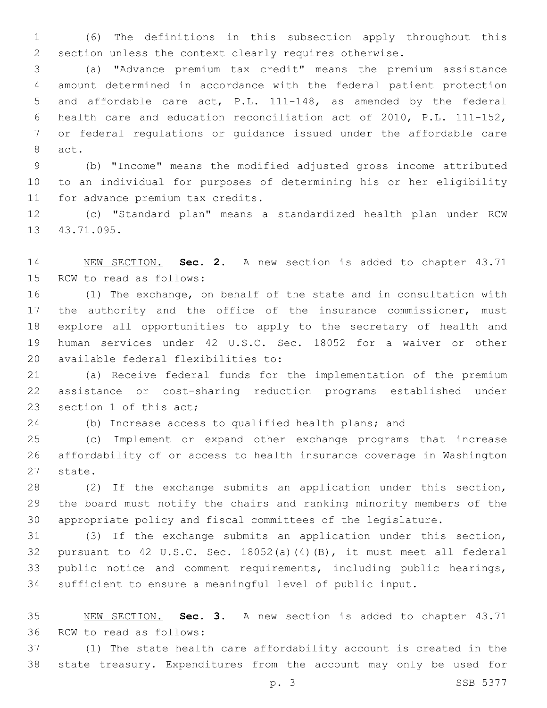(6) The definitions in this subsection apply throughout this section unless the context clearly requires otherwise.

 (a) "Advance premium tax credit" means the premium assistance amount determined in accordance with the federal patient protection and affordable care act, P.L. 111-148, as amended by the federal health care and education reconciliation act of 2010, P.L. 111-152, or federal regulations or guidance issued under the affordable care 8 act.

 (b) "Income" means the modified adjusted gross income attributed to an individual for purposes of determining his or her eligibility 11 for advance premium tax credits.

 (c) "Standard plan" means a standardized health plan under RCW 13 43.71.095.

 NEW SECTION. **Sec. 2.** A new section is added to chapter 43.71 15 RCW to read as follows:

 (1) The exchange, on behalf of the state and in consultation with 17 the authority and the office of the insurance commissioner, must explore all opportunities to apply to the secretary of health and human services under 42 U.S.C. Sec. 18052 for a waiver or other 20 available federal flexibilities to:

 (a) Receive federal funds for the implementation of the premium assistance or cost-sharing reduction programs established under 23 section 1 of this act;

(b) Increase access to qualified health plans; and

 (c) Implement or expand other exchange programs that increase affordability of or access to health insurance coverage in Washington 27 state.

 (2) If the exchange submits an application under this section, the board must notify the chairs and ranking minority members of the appropriate policy and fiscal committees of the legislature.

 (3) If the exchange submits an application under this section, pursuant to 42 U.S.C. Sec. 18052(a)(4)(B), it must meet all federal public notice and comment requirements, including public hearings, sufficient to ensure a meaningful level of public input.

 NEW SECTION. **Sec. 3.** A new section is added to chapter 43.71 36 RCW to read as follows:

 (1) The state health care affordability account is created in the state treasury. Expenditures from the account may only be used for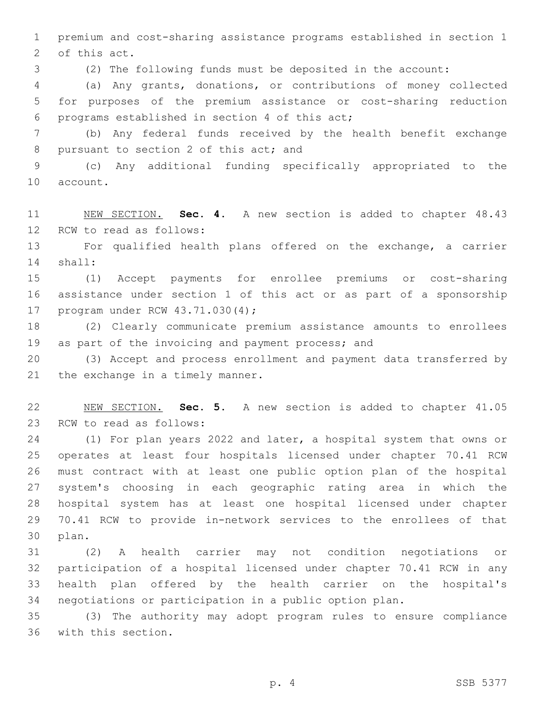premium and cost-sharing assistance programs established in section 1 2 of this act.

(2) The following funds must be deposited in the account:

 (a) Any grants, donations, or contributions of money collected for purposes of the premium assistance or cost-sharing reduction 6 programs established in section 4 of this act;

 (b) Any federal funds received by the health benefit exchange 8 pursuant to section 2 of this act; and

 (c) Any additional funding specifically appropriated to the 10 account.

 NEW SECTION. **Sec. 4.** A new section is added to chapter 48.43 12 RCW to read as follows:

 For qualified health plans offered on the exchange, a carrier shall:14

 (1) Accept payments for enrollee premiums or cost-sharing assistance under section 1 of this act or as part of a sponsorship 17 program under RCW 43.71.030(4);

 (2) Clearly communicate premium assistance amounts to enrollees 19 as part of the invoicing and payment process; and

 (3) Accept and process enrollment and payment data transferred by 21 the exchange in a timely manner.

 NEW SECTION. **Sec. 5.** A new section is added to chapter 41.05 23 RCW to read as follows:

 (1) For plan years 2022 and later, a hospital system that owns or operates at least four hospitals licensed under chapter 70.41 RCW must contract with at least one public option plan of the hospital system's choosing in each geographic rating area in which the hospital system has at least one hospital licensed under chapter 70.41 RCW to provide in-network services to the enrollees of that 30 plan.

 (2) A health carrier may not condition negotiations or participation of a hospital licensed under chapter 70.41 RCW in any health plan offered by the health carrier on the hospital's negotiations or participation in a public option plan.

 (3) The authority may adopt program rules to ensure compliance 36 with this section.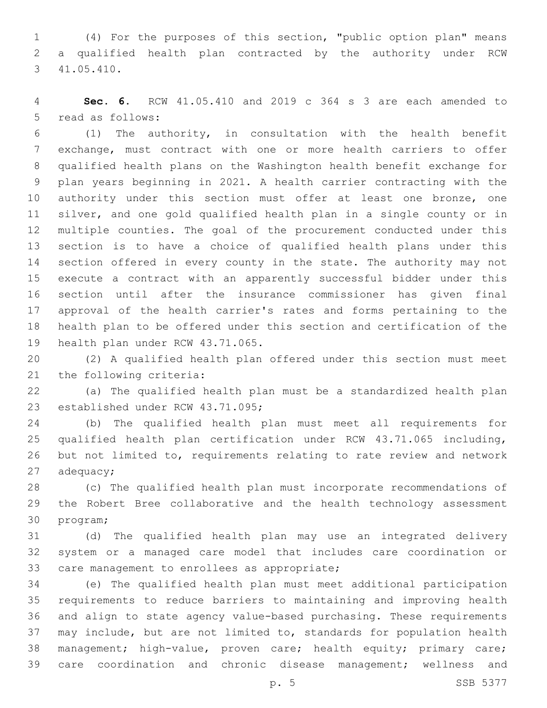(4) For the purposes of this section, "public option plan" means a qualified health plan contracted by the authority under RCW 41.05.410.3

 **Sec. 6.** RCW 41.05.410 and 2019 c 364 s 3 are each amended to 5 read as follows:

 (1) The authority, in consultation with the health benefit exchange, must contract with one or more health carriers to offer qualified health plans on the Washington health benefit exchange for plan years beginning in 2021. A health carrier contracting with the 10 authority under this section must offer at least one bronze, one silver, and one gold qualified health plan in a single county or in multiple counties. The goal of the procurement conducted under this section is to have a choice of qualified health plans under this section offered in every county in the state. The authority may not execute a contract with an apparently successful bidder under this section until after the insurance commissioner has given final approval of the health carrier's rates and forms pertaining to the health plan to be offered under this section and certification of the 19 health plan under RCW 43.71.065.

 (2) A qualified health plan offered under this section must meet 21 the following criteria:

 (a) The qualified health plan must be a standardized health plan 23 established under RCW 43.71.095;

 (b) The qualified health plan must meet all requirements for qualified health plan certification under RCW 43.71.065 including, but not limited to, requirements relating to rate review and network adequacy;

 (c) The qualified health plan must incorporate recommendations of the Robert Bree collaborative and the health technology assessment 30 program;

 (d) The qualified health plan may use an integrated delivery system or a managed care model that includes care coordination or 33 care management to enrollees as appropriate;

 (e) The qualified health plan must meet additional participation requirements to reduce barriers to maintaining and improving health and align to state agency value-based purchasing. These requirements may include, but are not limited to, standards for population health 38 management; high-value, proven care; health equity; primary care; care coordination and chronic disease management; wellness and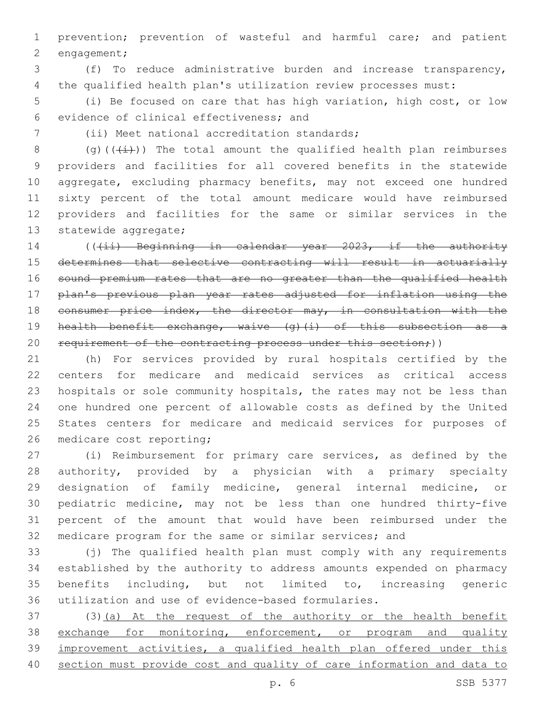prevention; prevention of wasteful and harmful care; and patient 2 engagement;

 (f) To reduce administrative burden and increase transparency, the qualified health plan's utilization review processes must:

 (i) Be focused on care that has high variation, high cost, or low 6 evidence of clinical effectiveness; and

(ii) Meet national accreditation standards;7

8 (g)( $(\frac{1}{i})$ ) The total amount the qualified health plan reimburses providers and facilities for all covered benefits in the statewide aggregate, excluding pharmacy benefits, may not exceed one hundred sixty percent of the total amount medicare would have reimbursed providers and facilities for the same or similar services in the 13 statewide aggregate;

14 (((ii) Beginning in calendar year 2023, if the authority determines that selective contracting will result in actuarially sound premium rates that are no greater than the qualified health plan's previous plan year rates adjusted for inflation using the 18 consumer price index, the director may, in consultation with the 19 health benefit exchange, waive (g)(i) of this subsection as a 20 requirement of the contracting process under this section;))

 (h) For services provided by rural hospitals certified by the centers for medicare and medicaid services as critical access hospitals or sole community hospitals, the rates may not be less than one hundred one percent of allowable costs as defined by the United States centers for medicare and medicaid services for purposes of 26 medicare cost reporting;

 (i) Reimbursement for primary care services, as defined by the authority, provided by a physician with a primary specialty designation of family medicine, general internal medicine, or pediatric medicine, may not be less than one hundred thirty-five percent of the amount that would have been reimbursed under the medicare program for the same or similar services; and

 (j) The qualified health plan must comply with any requirements established by the authority to address amounts expended on pharmacy benefits including, but not limited to, increasing generic utilization and use of evidence-based formularies.

 (3)(a) At the request of the authority or the health benefit 38 exchange for monitoring, enforcement, or program and quality improvement activities, a qualified health plan offered under this section must provide cost and quality of care information and data to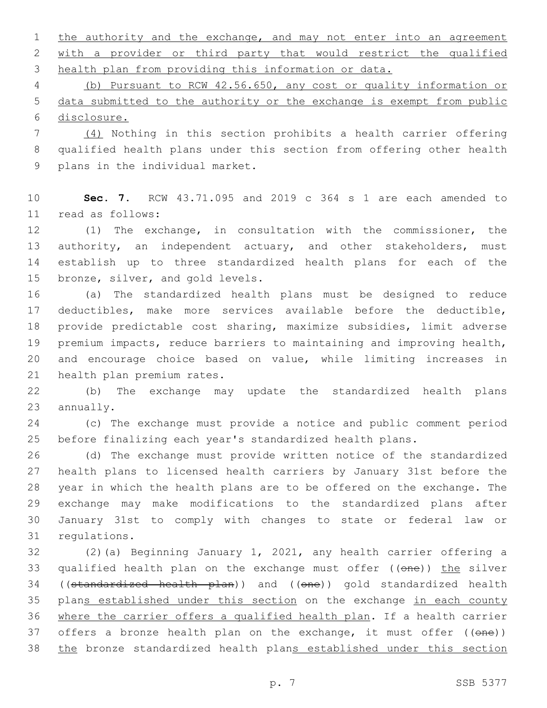1 the authority and the exchange, and may not enter into an agreement with a provider or third party that would restrict the qualified health plan from providing this information or data.

 (b) Pursuant to RCW 42.56.650, any cost or quality information or data submitted to the authority or the exchange is exempt from public disclosure.

 (4) Nothing in this section prohibits a health carrier offering qualified health plans under this section from offering other health 9 plans in the individual market.

 **Sec. 7.** RCW 43.71.095 and 2019 c 364 s 1 are each amended to read as follows:11

 (1) The exchange, in consultation with the commissioner, the 13 authority, an independent actuary, and other stakeholders, must establish up to three standardized health plans for each of the 15 bronze, silver, and gold levels.

 (a) The standardized health plans must be designed to reduce deductibles, make more services available before the deductible, provide predictable cost sharing, maximize subsidies, limit adverse premium impacts, reduce barriers to maintaining and improving health, and encourage choice based on value, while limiting increases in 21 health plan premium rates.

 (b) The exchange may update the standardized health plans 23 annually.

 (c) The exchange must provide a notice and public comment period before finalizing each year's standardized health plans.

 (d) The exchange must provide written notice of the standardized health plans to licensed health carriers by January 31st before the year in which the health plans are to be offered on the exchange. The exchange may make modifications to the standardized plans after January 31st to comply with changes to state or federal law or 31 regulations.

 (2)(a) Beginning January 1, 2021, any health carrier offering a 33 qualified health plan on the exchange must offer ((one)) the silver 34 ((standardized health plan)) and ((one)) gold standardized health 35 plans established under this section on the exchange in each county where the carrier offers a qualified health plan. If a health carrier 37 offers a bronze health plan on the exchange, it must offer ((one)) 38 the bronze standardized health plans established under this section